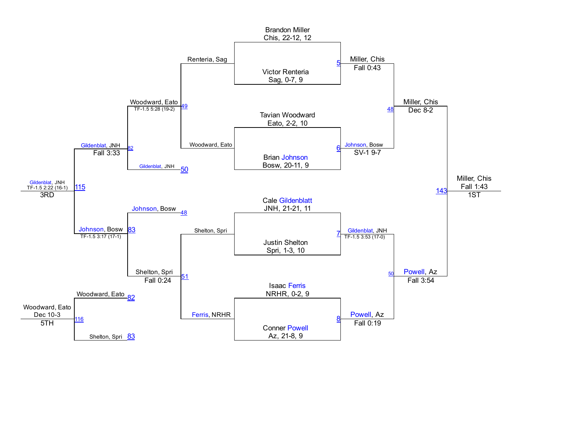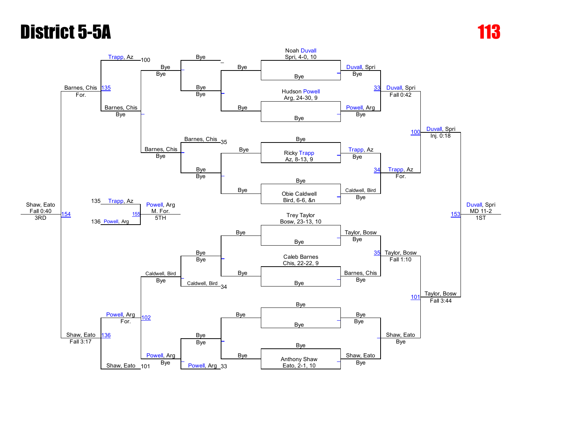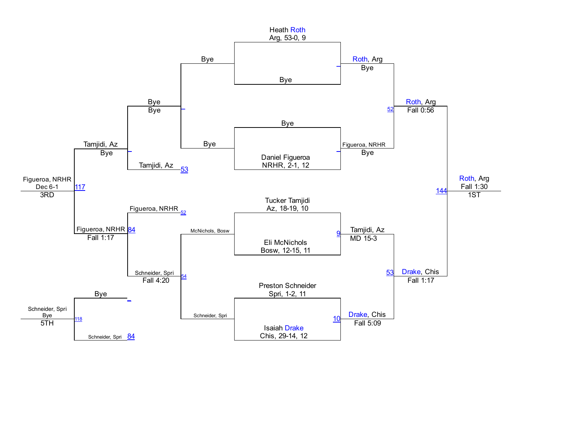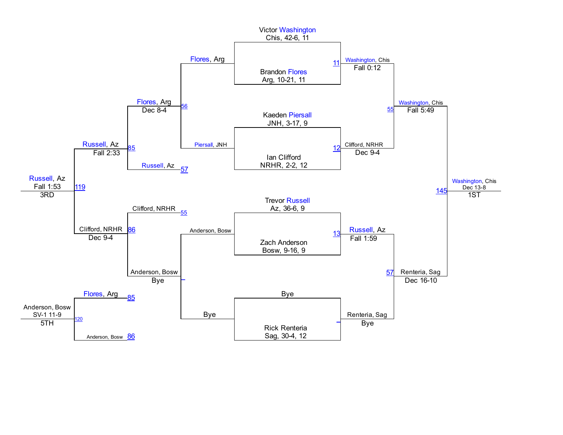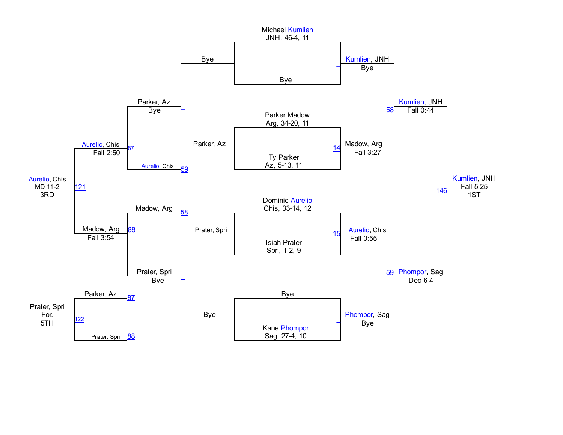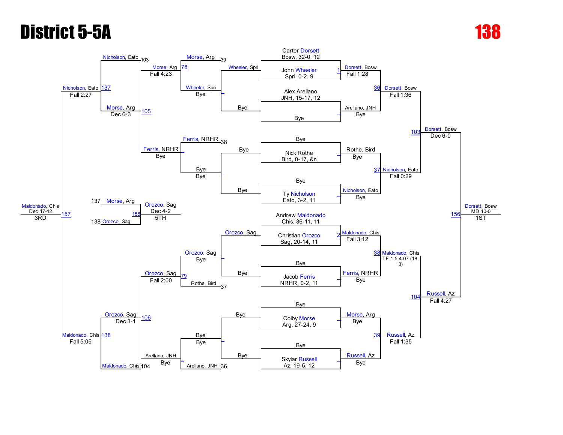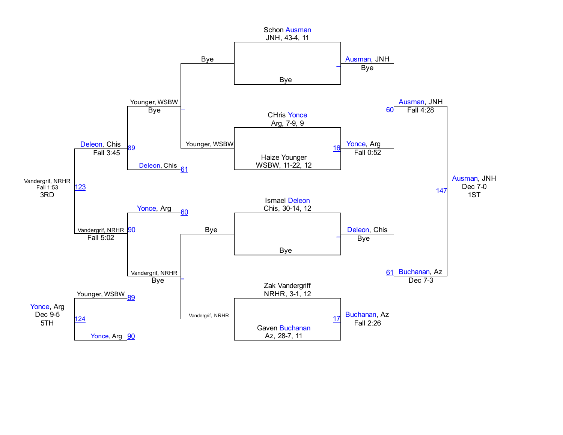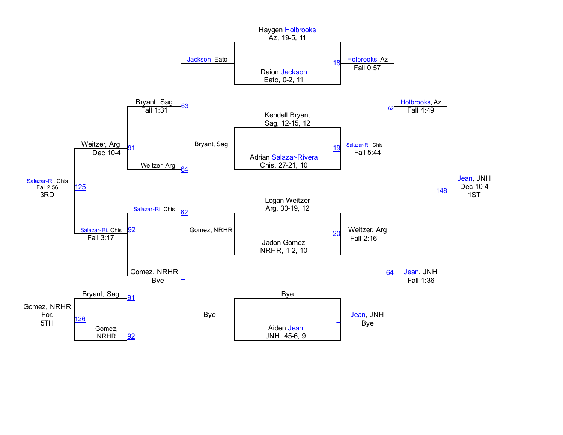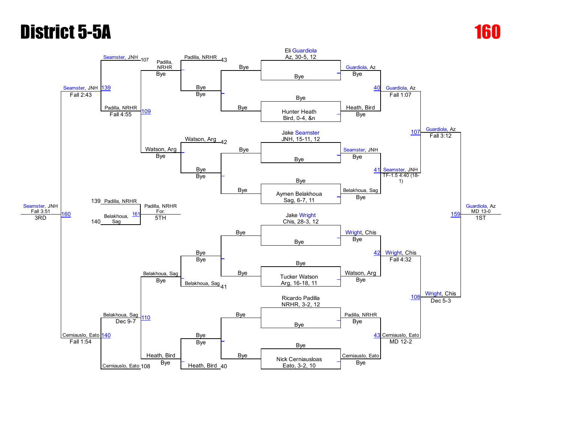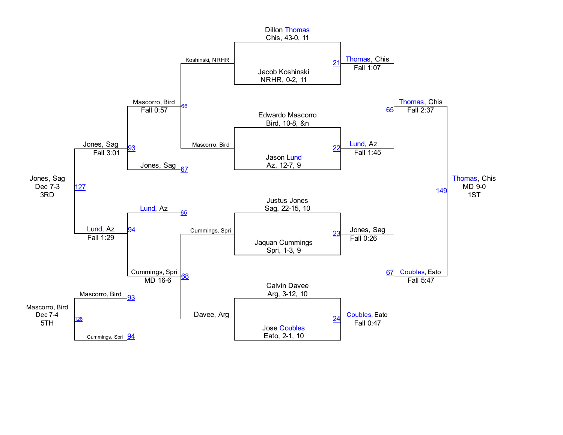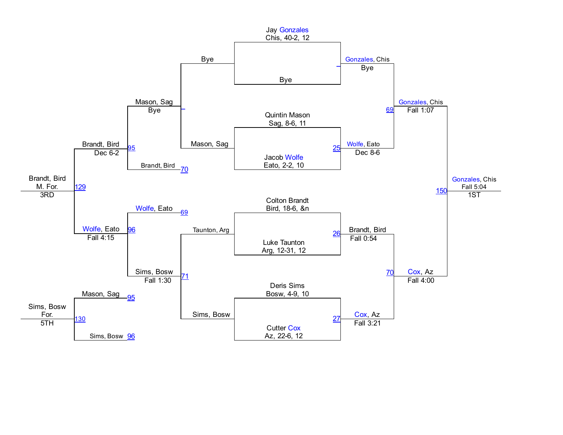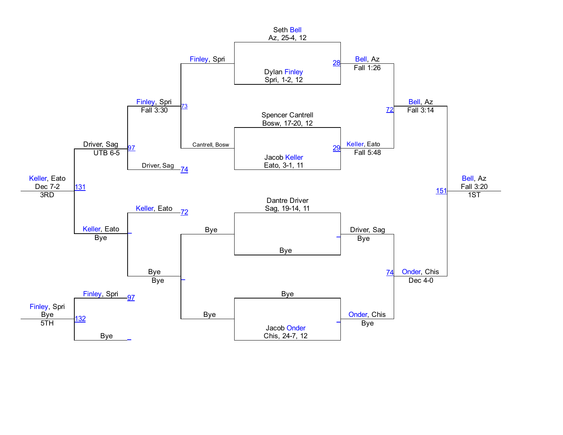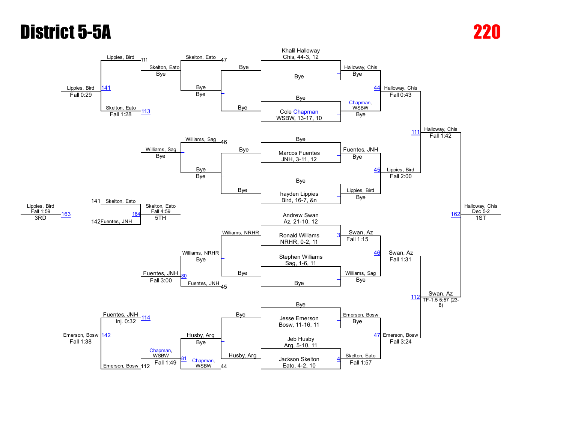